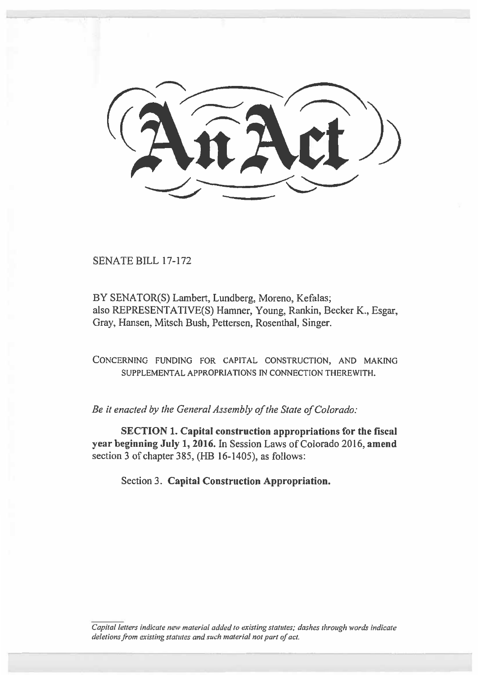SENATE BILL 17-172

BY SENATOR(S) Lambert, Lundberg, Moreno, Kefalas; also REPRESENTATIVE(S) Hamner, Young, Rankin, Becker K., Esgar, Gray, Hansen, Mitsch Bush, Pettersen, Rosenthal, Singer.

**CONCERNING FUNDING FOR CAPITAL CONSTRUCTION, AND MAKING SUPPLEMENTAL APPROPRIATIONS IN CONNECTION THEREWITH.** 

*Be it enacted by the General Assembly of the State of Colorado:* 

**SECTION 1. Capital construction appropriations for the fiscal year beginning July 1, 2016.** In Session Laws of Colorado 2016, **amend**  section 3 of chapter 385,  $(HB 16-1405)$ , as follows:

Section 3. **Capital Construction Appropriation.** 

Capital letters indicate new material added to existing statutes; dashes through words indicate deletions from existing statutes and such material not part of act.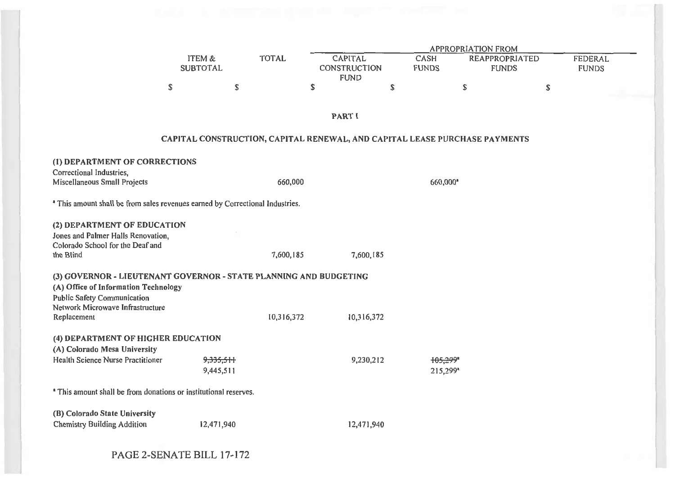|                                                                                                                                                 |                           |              |                                                      | <b>APPROPRIATION FROM</b> |                             |                                                                            |                         |  |  |  |  |  |
|-------------------------------------------------------------------------------------------------------------------------------------------------|---------------------------|--------------|------------------------------------------------------|---------------------------|-----------------------------|----------------------------------------------------------------------------|-------------------------|--|--|--|--|--|
|                                                                                                                                                 | ITEM &<br><b>SUBTOTAL</b> | <b>TOTAL</b> | <b>CAPITAL</b><br><b>CONSTRUCTION</b><br><b>FUND</b> |                           | <b>CASH</b><br><b>FUNDS</b> | <b>REAPPROPRIATED</b><br><b>FUNDS</b>                                      | FEDERAL<br><b>FUNDS</b> |  |  |  |  |  |
|                                                                                                                                                 | \$                        | \$           | \$                                                   | \$                        |                             | \$                                                                         | \$                      |  |  |  |  |  |
|                                                                                                                                                 |                           |              | <b>PARTI</b>                                         |                           |                             |                                                                            |                         |  |  |  |  |  |
|                                                                                                                                                 |                           |              |                                                      |                           |                             | CAPITAL CONSTRUCTION, CAPITAL RENEWAL, AND CAPITAL LEASE PURCHASE PAYMENTS |                         |  |  |  |  |  |
| (1) DEPARTMENT OF CORRECTIONS<br>Correctional Industries,<br>Miscellaneous Small Projects                                                       |                           | 660,000      |                                                      |                           |                             |                                                                            |                         |  |  |  |  |  |
|                                                                                                                                                 |                           |              |                                                      |                           | 660,000*                    |                                                                            |                         |  |  |  |  |  |
| <sup>a</sup> This amount shall be from sales revenues earned by Correctional Industries.                                                        |                           |              |                                                      |                           |                             |                                                                            |                         |  |  |  |  |  |
| (2) DEPARTMENT OF EDUCATION<br>Jones and Palmer Halls Renovation,<br>Colorado School for the Deaf and                                           |                           |              |                                                      |                           |                             |                                                                            |                         |  |  |  |  |  |
| the Blind                                                                                                                                       |                           | 7,600,185    |                                                      | 7,600,185                 |                             |                                                                            |                         |  |  |  |  |  |
| (3) GOVERNOR - LIEUTENANT GOVERNOR - STATE PLANNING AND BUDGETING<br>(A) Office of Information Technology<br><b>Public Safety Communication</b> |                           |              |                                                      |                           |                             |                                                                            |                         |  |  |  |  |  |
| Network Microwave Infrastructure<br>Replacement                                                                                                 |                           | 10,316,372   |                                                      | 10,316,372                |                             |                                                                            |                         |  |  |  |  |  |
| (4) DEPARTMENT OF HIGHER EDUCATION<br>(A) Colorado Mesa University                                                                              |                           |              |                                                      |                           |                             |                                                                            |                         |  |  |  |  |  |
| Health Science Nurse Practitioner                                                                                                               | 9,335,511<br>9,445,511    |              |                                                      | 9,230,212                 | 105,299*<br>215,299*        |                                                                            |                         |  |  |  |  |  |
| <sup>*</sup> This amount shall be from donations or institutional reserves.                                                                     |                           |              |                                                      |                           |                             |                                                                            |                         |  |  |  |  |  |
| (B) Colorado State University                                                                                                                   |                           |              |                                                      |                           |                             |                                                                            |                         |  |  |  |  |  |
| <b>Chemistry Building Addition</b>                                                                                                              | 12,471,940                |              |                                                      | 12,471,940                |                             |                                                                            |                         |  |  |  |  |  |

PAGE 2-SENATE BILL 17-172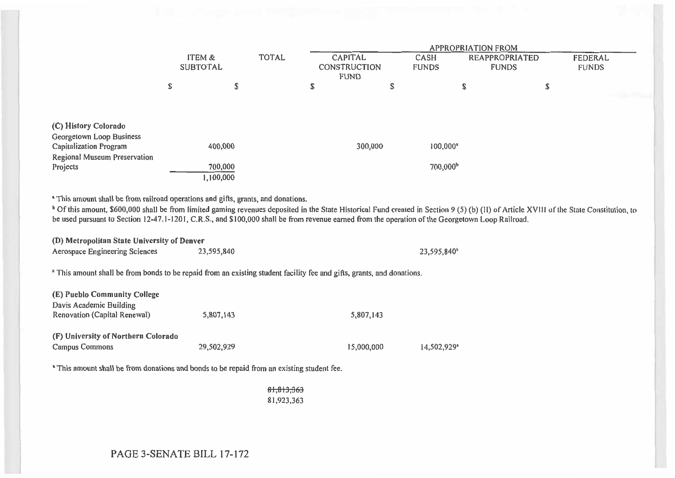|                                                                                   | ITEM &<br><b>SUBTOTAL</b> |                      | <b>TOTAL</b> | <b>CAPITAL</b><br><b>CONSTRUCTION</b><br><b>FUND</b> | <b>APPROPRIATION FROM</b><br><b>CASH</b><br><b>REAPPROPRIATED</b><br><b>FUNDS</b><br><b>FUNDS</b> |   |    | <b>FEDERAL</b><br><b>FUNDS</b> |
|-----------------------------------------------------------------------------------|---------------------------|----------------------|--------------|------------------------------------------------------|---------------------------------------------------------------------------------------------------|---|----|--------------------------------|
|                                                                                   | S                         | ረኮ<br>⊅              |              | \$<br>\$                                             |                                                                                                   | Ф | \$ |                                |
|                                                                                   |                           |                      |              |                                                      |                                                                                                   |   |    |                                |
| (C) History Colorado<br>Georgetown Loop Business<br><b>Capitalization Program</b> |                           | 400,000              |              | 300,000                                              | $100,000$ <sup>*</sup>                                                                            |   |    |                                |
| Regional Museum Preservation<br>Projects                                          |                           | 700,000<br>1,100,000 |              |                                                      | 700,000 <sup>b</sup>                                                                              |   |    |                                |

This amount shall be from railroad operations and gifts, grants, and donations.

<sup>b</sup> Of this amount, \$600,000 shall be from limited gaming revenues deposited in the State Historical Fund created in Section 9 (5) (b) (II) of Article XVIII of the State Constitution, to be used pursuant to Section 12-47.1-1201, C.R.S., and \$100,000 shall be from revenue earned from the operation of the Georgetown Loop Railroad.

**(D) Metropolitan State University of Denver** 

| Aerospace Engineering Sciences | 23,595,840 | 23,595,840* |
|--------------------------------|------------|-------------|
|--------------------------------|------------|-------------|

This amount shall be from bonds to be repaid from an existing student facility fee and gifts, grants, and donations.

| (E) Pueblo Community College        |            |            |                           |
|-------------------------------------|------------|------------|---------------------------|
| Davis Academic Building             |            |            |                           |
| Renovation (Capital Renewal)        | 5,807,143  | 5,807,143  |                           |
| (F) University of Northern Colorado |            |            |                           |
| <b>Campus Commons</b>               | 29,502,929 | 15,000,000 | $14,502,929$ <sup>*</sup> |

This amount shall be from donations and bonds to be repaid from an existing student fee.

.81,813,36 81,923,363

#### PAGE 3-SENATE BILL 17-172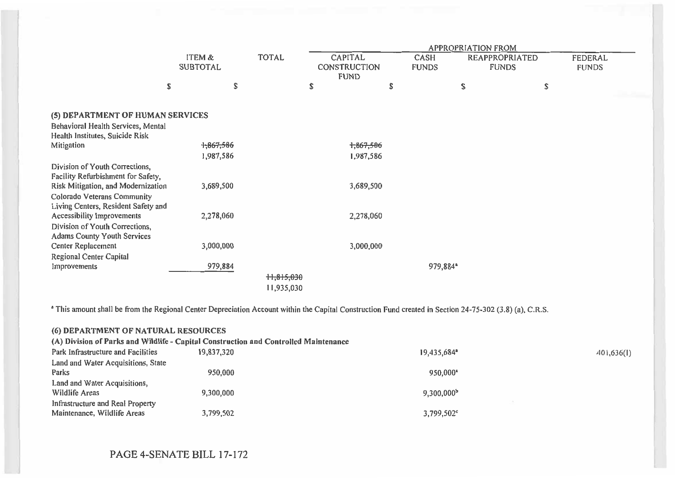|                                                                       |                           |                            | <b>APPROPRIATION FROM</b>              |           |                                                        |    |    |                         |  |  |
|-----------------------------------------------------------------------|---------------------------|----------------------------|----------------------------------------|-----------|--------------------------------------------------------|----|----|-------------------------|--|--|
|                                                                       | ITEM &<br><b>SUBTOTAL</b> | <b>TOTAL</b>               | CAPITAL<br>CONSTRUCTION<br><b>FUND</b> |           | CASH<br>REAPPROPRIATED<br><b>FUNDS</b><br><b>FUNDS</b> |    |    | FEDERAL<br><b>FUNDS</b> |  |  |
| \$                                                                    | \$                        |                            | \$                                     | \$        |                                                        | \$ | \$ |                         |  |  |
| (5) DEPARTMENT OF HUMAN SERVICES                                      |                           |                            |                                        |           |                                                        |    |    |                         |  |  |
| Behavioral Health Services, Mental<br>Health Institutes, Suicide Risk |                           |                            |                                        |           |                                                        |    |    |                         |  |  |
| Mitigation                                                            | 1,867,586                 |                            |                                        | 1,867,586 |                                                        |    |    |                         |  |  |
|                                                                       | 1,987,586                 |                            |                                        | 1,987,586 |                                                        |    |    |                         |  |  |
| Division of Youth Corrections,<br>Facility Refurbishment for Safety,  |                           |                            |                                        |           |                                                        |    |    |                         |  |  |
| Risk Mitigation, and Modernization                                    | 3,689,500                 |                            |                                        | 3,689,500 |                                                        |    |    |                         |  |  |
| Colorado Veterans Community<br>Living Centers, Resident Safety and    |                           |                            |                                        |           |                                                        |    |    |                         |  |  |
| Accessibility Improvements                                            | 2,278,060                 |                            |                                        | 2,278,060 |                                                        |    |    |                         |  |  |
| Division of Youth Corrections,<br><b>Adams County Youth Services</b>  |                           |                            |                                        |           |                                                        |    |    |                         |  |  |
| Center Replacement                                                    | 3,000,000                 |                            |                                        | 3,000,000 |                                                        |    |    |                         |  |  |
| Regional Center Capital                                               |                           |                            |                                        |           |                                                        |    |    |                         |  |  |
| Improvements                                                          | 979,884                   | $+1,815,030$<br>11,935,030 |                                        |           | 979,884*                                               |    |    |                         |  |  |

<sup>a</sup> This amount shall be from the Regional Center Depreciation Account within the Capital Construction Fund created in Section 24-75-302 (3.8) (a), C.R.S.

|                                                                                      | (6) DEPARTMENT OF NATURAL RESOURCES |                           |  |            |  |  |  |  |  |  |
|--------------------------------------------------------------------------------------|-------------------------------------|---------------------------|--|------------|--|--|--|--|--|--|
| (A) Division of Parks and Wildlife - Capital Construction and Controlled Maintenance |                                     |                           |  |            |  |  |  |  |  |  |
| Park Infrastructure and Facilities                                                   | 19,837,320                          | $19,435,684$ <sup>a</sup> |  | 401,636(1) |  |  |  |  |  |  |
| Land and Water Acquisitions, State                                                   |                                     |                           |  |            |  |  |  |  |  |  |
| Parks                                                                                | 950,000                             | $950.000$ <sup>+</sup>    |  |            |  |  |  |  |  |  |
| Land and Water Acquisitions,                                                         |                                     |                           |  |            |  |  |  |  |  |  |
| Wildlife Areas                                                                       | 9,300,000                           | 9,300,000 <sup>b</sup>    |  |            |  |  |  |  |  |  |
| Infrastructure and Real Property                                                     |                                     |                           |  |            |  |  |  |  |  |  |
| Maintenance, Wildlife Areas                                                          | 3,799,502                           | $3,799,502^{\circ}$       |  |            |  |  |  |  |  |  |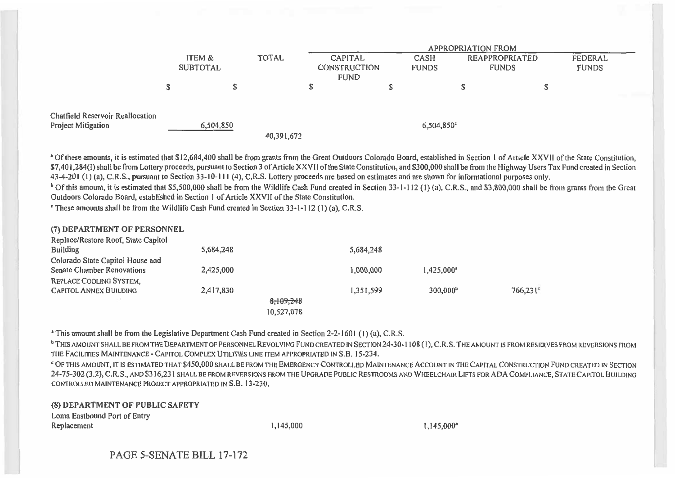|                                                               |                 |                     | APPROPRIATION FROM |   |                              |                |              |                |  |
|---------------------------------------------------------------|-----------------|---------------------|--------------------|---|------------------------------|----------------|--------------|----------------|--|
|                                                               | ITEM &          | <b>TOTAL</b>        | <b>CAPITAL</b>     |   | CASH                         | REAPPROPRIATED |              | <b>FEDERAL</b> |  |
|                                                               | <b>SUBTOTAL</b> | <b>CONSTRUCTION</b> |                    |   | <b>FUNDS</b><br><b>FUNDS</b> |                | <b>FUNDS</b> |                |  |
|                                                               |                 |                     | <b>FUND</b>        |   |                              |                |              |                |  |
|                                                               |                 |                     |                    | ப |                              |                |              |                |  |
|                                                               |                 |                     |                    |   |                              |                |              |                |  |
| <b>Chatfield Reservoir Reallocation</b><br>Project Mitigation | 6,504,850       | 40,391,672          |                    |   | $6,504,850$ <sup>c</sup>     |                |              |                |  |

' Of these amounts, it is estimated that \$12,684,400 shall be from grants from the Great Outdoors Colorado Board, established in Section 1 of Article XXVII of the State Constitution, \$7,401,284(1) shall be from Lottery proceeds, pursuant to Section 3 of Article XXVII of the State Constitution, and \$300,000 shall be from the Highway Users Tax Fund created in Section 43-4-201 (1) (a), C.R.S., pursuant to Section 33-10-111 (4), C.R.S. Lottery proceeds are based on estimates and are shown for informational purposes only.

<sup>b</sup> Of this amount, it is estimated that \$5,500,000 shall be from the Wildlife Cash Fund created in Section 33-1-112 (1) (a), C.R.S., and \$3,800,000 shall be from grants from the Great Outdoors Colorado Board, established in Section **1** of Article XXVII of the State Constitution.

These amounts shall be from the Wildlife Cash Fund created in Section 33-1-112 **(1) (a),** C.R.S.

| (7) DEPARTMENT OF PERSONNEL         |           |            |           |                      |                   |
|-------------------------------------|-----------|------------|-----------|----------------------|-------------------|
| Replace/Restore Roof, State Capitol |           |            |           |                      |                   |
| <b>Building</b>                     | 5,684,248 |            | 5,684,248 |                      |                   |
| Colorado State Capitol House and    |           |            |           |                      |                   |
| <b>Senate Chamber Renovations</b>   | 2,425,000 |            | 1,000,000 | 1.425,000*           |                   |
| <b>REPLACE COOLING SYSTEM,</b>      |           |            |           |                      |                   |
| <b>CAPITOL ANNEX BUILDING</b>       | 2,417,830 |            | 1,351,599 | 300,000 <sup>b</sup> | $766,231^{\circ}$ |
|                                     |           | 8,109,248  |           |                      |                   |
|                                     |           | 10,527,078 |           |                      |                   |

This amount shall be from the Legislative Department Cash Fund created in Section 2-2-1601 (1) (a), C.R.S.

**<sup>b</sup>**THIS AMOUNT SHALL BE FROM THE DEPARTMENT OF PERSONNEL REVOLVING FUND CREATED IN SECTION 24-30-1108 (I), C.R.S. THE AMOUNT IS FROM RESERVES FROM REVERSIONS FROM THE FACILITIES MAINTENANCE - CAPITOL COMPLEX UTILITIES LINE ITEM APPROPRIATED IN S.B. 15-234.

OF THIS AMOUNT, IT IS ESTIMATED THAT \$450,000 SHALL BE FROM THE EMERGENCY CONTROLLED MAINTENANCE ACCOUNT IN THE CAPITAL CONSTRUCTION FUND CREATED IN SECTION 24-75-302 (3.2), C.R.S., AND \$316,23 1 SHALL BE FROM REVERSIONS FROM THE UPGRADE PUBLIC RESTROOMS AND WHEELCHAIR LIFTS FOR ADA COMPLIANCE, STATE CAPITOL BUILDING CONTROLLED MAINTENANCE PROJECT APPROPRIATED IN S.B. 13-230.

**(8) DEPARTMENT OF PUBLIC SAFETY Loma Eastbound Port of Entry Replacement 1,145,000 1,145,000'**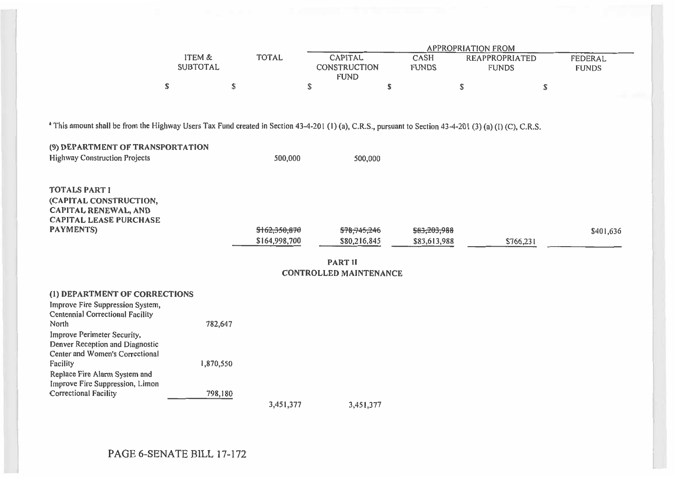|                                                                                                                                                                     |                 |               |                               |              | <b>APPROPRIATION FROM</b> |                |  |  |  |
|---------------------------------------------------------------------------------------------------------------------------------------------------------------------|-----------------|---------------|-------------------------------|--------------|---------------------------|----------------|--|--|--|
|                                                                                                                                                                     | ITEM &          | <b>TOTAL</b>  | <b>CAPITAL</b>                | CASH         | <b>REAPPROPRIATED</b>     | <b>FEDERAL</b> |  |  |  |
|                                                                                                                                                                     | <b>SUBTOTAL</b> |               | <b>CONSTRUCTION</b>           | <b>FUNDS</b> | <b>FUNDS</b>              | <b>FUNDS</b>   |  |  |  |
|                                                                                                                                                                     |                 |               | <b>FUND</b>                   |              |                           |                |  |  |  |
|                                                                                                                                                                     | \$              | \$            | \$                            | \$           | \$                        | \$             |  |  |  |
|                                                                                                                                                                     |                 |               |                               |              |                           |                |  |  |  |
| <sup>a</sup> This amount shall be from the Highway Users Tax Fund created in Section 43-4-201 (1) (a), C.R.S., pursuant to Section 43-4-201 (3) (a) (1) (C), C.R.S. |                 |               |                               |              |                           |                |  |  |  |
|                                                                                                                                                                     |                 |               |                               |              |                           |                |  |  |  |
| (9) DEPARTMENT OF TRANSPORTATION                                                                                                                                    |                 |               |                               |              |                           |                |  |  |  |
| <b>Highway Construction Projects</b>                                                                                                                                |                 | 500,000       | 500,000                       |              |                           |                |  |  |  |
|                                                                                                                                                                     |                 |               |                               |              |                           |                |  |  |  |
|                                                                                                                                                                     |                 |               |                               |              |                           |                |  |  |  |
| <b>TOTALS PART I</b>                                                                                                                                                |                 |               |                               |              |                           |                |  |  |  |
| (CAPITAL CONSTRUCTION,                                                                                                                                              |                 |               |                               |              |                           |                |  |  |  |
| <b>CAPITAL RENEWAL, AND</b><br><b>CAPITAL LEASE PURCHASE</b>                                                                                                        |                 |               |                               |              |                           |                |  |  |  |
| <b>PAYMENTS)</b>                                                                                                                                                    |                 | \$162,350,870 | \$78,745,246                  | \$83,203,988 |                           | \$401,636      |  |  |  |
|                                                                                                                                                                     |                 | \$164,998,700 | \$80,216,845                  | \$83,613,988 | \$766,231                 |                |  |  |  |
|                                                                                                                                                                     |                 |               |                               |              |                           |                |  |  |  |
|                                                                                                                                                                     |                 |               | <b>PART II</b>                |              |                           |                |  |  |  |
|                                                                                                                                                                     |                 |               | <b>CONTROLLED MAINTENANCE</b> |              |                           |                |  |  |  |
| (1) DEPARTMENT OF CORRECTIONS                                                                                                                                       |                 |               |                               |              |                           |                |  |  |  |
| Improve Fire Suppression System,                                                                                                                                    |                 |               |                               |              |                           |                |  |  |  |
| <b>Centennial Correctional Facility</b>                                                                                                                             |                 |               |                               |              |                           |                |  |  |  |
| North                                                                                                                                                               | 782,647         |               |                               |              |                           |                |  |  |  |
| Improve Perimeter Security,                                                                                                                                         |                 |               |                               |              |                           |                |  |  |  |
| Denver Reception and Diagnostic                                                                                                                                     |                 |               |                               |              |                           |                |  |  |  |
| Center and Women's Correctional<br>Facility                                                                                                                         | 1,870,550       |               |                               |              |                           |                |  |  |  |
| Replace Fire Alarm System and                                                                                                                                       |                 |               |                               |              |                           |                |  |  |  |
| Improve Fire Suppression, Limon                                                                                                                                     |                 |               |                               |              |                           |                |  |  |  |
| <b>Correctional Facility</b>                                                                                                                                        | 798,180         |               |                               |              |                           |                |  |  |  |
|                                                                                                                                                                     |                 | 3,451,377     | 3,451,377                     |              |                           |                |  |  |  |

PAGE 6-SENATE BILL 17-172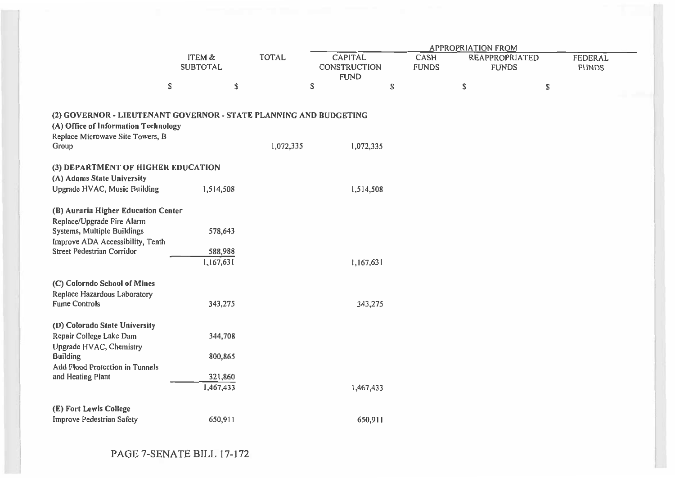|                                                                                                                                                                    |                                 |              |                                               |                      | <b>APPROPRIATION FROM</b> |                                       |                         |
|--------------------------------------------------------------------------------------------------------------------------------------------------------------------|---------------------------------|--------------|-----------------------------------------------|----------------------|---------------------------|---------------------------------------|-------------------------|
|                                                                                                                                                                    | ITEM &<br><b>SUBTOTAL</b>       | <b>TOTAL</b> | CAPITAL<br><b>CONSTRUCTION</b><br><b>FUND</b> | CASH<br><b>FUNDS</b> |                           | <b>REAPPROPRIATED</b><br><b>FUNDS</b> | FEDERAL<br><b>FUNDS</b> |
|                                                                                                                                                                    | \$                              | \$           | \$                                            | \$                   | \$                        | $\mathbb S$                           |                         |
| (2) GOVERNOR - LIEUTENANT GOVERNOR - STATE PLANNING AND BUDGETING<br>(A) Office of Information Technology<br>Replace Microwave Site Towers, B<br>Group             |                                 | 1,072,335    | 1,072,335                                     |                      |                           |                                       |                         |
| (3) DEPARTMENT OF HIGHER EDUCATION                                                                                                                                 |                                 |              |                                               |                      |                           |                                       |                         |
| (A) Adams State University<br>Upgrade HVAC, Music Building                                                                                                         | 1,514,508                       |              | 1,514,508                                     |                      |                           |                                       |                         |
| (B) Auraria Higher Education Center<br>Replace/Upgrade Fire Alarm<br>Systems, Multiple Buildings<br>Improve ADA Accessibility, Tenth<br>Street Pedestrian Corridor | 578,643<br>588,988<br>1,167,631 |              | 1,167,631                                     |                      |                           |                                       |                         |
|                                                                                                                                                                    |                                 |              |                                               |                      |                           |                                       |                         |
| (C) Colorado School of Mines<br>Replace Hazardous Laboratory<br><b>Fume Controls</b>                                                                               | 343,275                         |              | 343,275                                       |                      |                           |                                       |                         |
| (D) Colorado State University<br>Repair College Lake Dam<br>Upgrade HVAC, Chemistry                                                                                | 344,708                         |              |                                               |                      |                           |                                       |                         |
| <b>Building</b>                                                                                                                                                    | 800,865                         |              |                                               |                      |                           |                                       |                         |
| Add Flood Protection in Tunnels<br>and Heating Plant                                                                                                               | 321,860<br>1,467,433            |              | 1,467,433                                     |                      |                           |                                       |                         |
| (E) Fort Lewis College<br><b>Improve Pedestrian Safety</b>                                                                                                         | 650,911                         |              | 650,911                                       |                      |                           |                                       |                         |

PAGE 7-SENATE BILL 17-172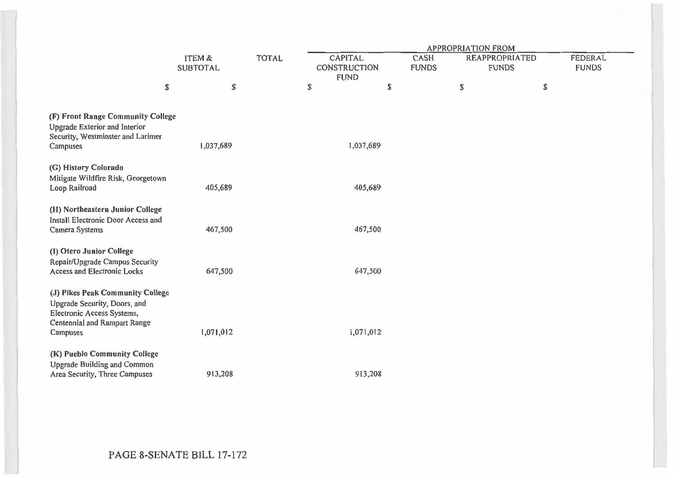|                                                                                                                                            |                           |              | <b>APPROPRIATION FROM</b>                     |         |                      |                                       |    |                                |  |  |  |
|--------------------------------------------------------------------------------------------------------------------------------------------|---------------------------|--------------|-----------------------------------------------|---------|----------------------|---------------------------------------|----|--------------------------------|--|--|--|
|                                                                                                                                            | ITEM &<br><b>SUBTOTAL</b> | <b>TOTAL</b> | <b>CAPITAL</b><br>CONSTRUCTION<br><b>FUND</b> |         | CASH<br><b>FUNDS</b> | <b>REAPPROPRIATED</b><br><b>FUNDS</b> |    | <b>FEDERAL</b><br><b>FUNDS</b> |  |  |  |
| \$                                                                                                                                         | \$                        |              | \$                                            | \$      |                      | S                                     | \$ |                                |  |  |  |
| (F) Front Range Community College<br>Upgrade Exterior and Interior<br>Security, Westminster and Larimer<br>Campuses                        | 1,037,689                 |              | 1,037,689                                     |         |                      |                                       |    |                                |  |  |  |
| (G) History Colorado<br>Mitigate Wildfire Risk, Georgetown<br>Loop Railroad                                                                | 405,689                   |              |                                               | 405,689 |                      |                                       |    |                                |  |  |  |
| (H) Northeastern Junior College<br>Install Electronic Door Access and<br>Camera Systems                                                    | 467,500                   |              |                                               | 467,500 |                      |                                       |    |                                |  |  |  |
| (I) Otero Junior College<br>Repair/Upgrade Campus Security<br><b>Access and Electronic Locks</b>                                           | 647,500                   |              |                                               | 647,500 |                      |                                       |    |                                |  |  |  |
| (J) Pikes Peak Community College<br>Upgrade Security, Doors, and<br>Electronic Access Systems,<br>Centennial and Rampart Range<br>Campuses | 1,071,012                 |              | 1,071,012                                     |         |                      |                                       |    |                                |  |  |  |
| (K) Pueblo Community College<br><b>Upgrade Building and Common</b><br>Area Security, Three Campuses                                        | 913,208                   |              |                                               | 913,208 |                      |                                       |    |                                |  |  |  |

PAGE 8-SENATE BILL 17-172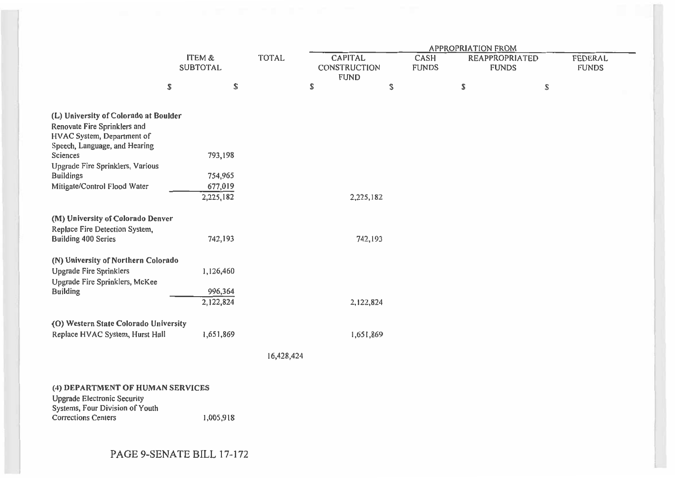|                                                                                                                                                                                                                                          |    |                                              |            | <b>APPROPRIATION FROM</b> |                      |  |   |                                                               |  |                             |                                       |  |                                |  |
|------------------------------------------------------------------------------------------------------------------------------------------------------------------------------------------------------------------------------------------|----|----------------------------------------------|------------|---------------------------|----------------------|--|---|---------------------------------------------------------------|--|-----------------------------|---------------------------------------|--|--------------------------------|--|
|                                                                                                                                                                                                                                          |    | <b>SUBTOTAL</b>                              |            | ITEM &                    |                      |  |   | <b>TOTAL</b><br><b>CAPITAL</b><br>CONSTRUCTION<br><b>FUND</b> |  | <b>CASH</b><br><b>FUNDS</b> | <b>REAPPROPRIATED</b><br><b>FUNDS</b> |  | <b>FEDERAL</b><br><b>FUNDS</b> |  |
|                                                                                                                                                                                                                                          | \$ | S                                            |            | \$                        | \$                   |  | S | \$                                                            |  |                             |                                       |  |                                |  |
| (L) University of Colorado at Boulder<br>Renovate Fire Sprinklers and<br>HVAC System, Department of<br>Speech, Language, and Hearing<br>Sciences<br>Upgrade Fire Sprinklers, Various<br><b>Buildings</b><br>Mitigate/Control Flood Water |    | 793,198<br>754,965<br>677,019                |            |                           |                      |  |   |                                                               |  |                             |                                       |  |                                |  |
|                                                                                                                                                                                                                                          |    | 2,225,182                                    |            |                           | 2,225,182            |  |   |                                                               |  |                             |                                       |  |                                |  |
| (M) University of Colorado Denver<br>Replace Fire Detection System,<br><b>Building 400 Series</b><br>(N) University of Northern Colorado<br><b>Upgrade Fire Sprinklers</b><br>Upgrade Fire Sprinklers, McKee<br><b>Building</b>          |    | 742,193<br>1,126,460<br>996,364<br>2,122,824 |            |                           | 742,193<br>2,122,824 |  |   |                                                               |  |                             |                                       |  |                                |  |
| (O) Western State Colorado University<br>Replace HVAC System, Hurst Hall                                                                                                                                                                 |    | 1,651,869                                    |            |                           | 1,651,869            |  |   |                                                               |  |                             |                                       |  |                                |  |
|                                                                                                                                                                                                                                          |    |                                              | 16,428,424 |                           |                      |  |   |                                                               |  |                             |                                       |  |                                |  |
| (4) DEPARTMENT OF HUMAN SERVICES<br><b>Upgrade Electronic Security</b><br>Systems, Four Division of Youth<br><b>Corrections Centers</b>                                                                                                  |    | 1,005,918                                    |            |                           |                      |  |   |                                                               |  |                             |                                       |  |                                |  |

# PAGE 9-SENATE BILL 17-172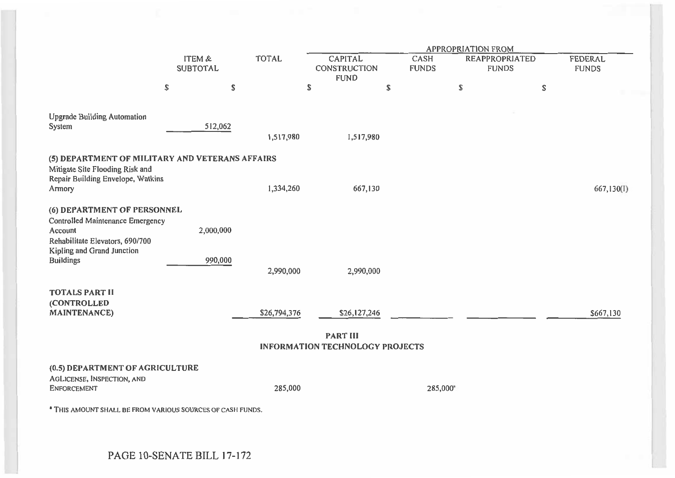|                                                                                                                      |                           |              |                                                           |                      | <b>APPROPRIATION FROM</b> |                                       |                                |
|----------------------------------------------------------------------------------------------------------------------|---------------------------|--------------|-----------------------------------------------------------|----------------------|---------------------------|---------------------------------------|--------------------------------|
|                                                                                                                      | ITEM &<br><b>SUBTOTAL</b> | <b>TOTAL</b> | <b>CAPITAL</b><br><b>CONSTRUCTION</b><br><b>FUND</b>      | CASH<br><b>FUNDS</b> |                           | <b>REAPPROPRIATED</b><br><b>FUNDS</b> | <b>FEDERAL</b><br><b>FUNDS</b> |
|                                                                                                                      | \$<br>\$                  |              | \$                                                        | \$                   | S                         | $\mathbb S$                           |                                |
| <b>Upgrade Building Automation</b><br>System                                                                         | 512,062                   | 1,517,980    | 1,517,980                                                 |                      |                           |                                       |                                |
| (5) DEPARTMENT OF MILITARY AND VETERANS AFFAIRS<br>Mitigate Site Flooding Risk and                                   |                           |              |                                                           |                      |                           |                                       |                                |
| Repair Building Envelope, Watkins<br>Armory                                                                          |                           | 1,334,260    | 667,130                                                   |                      |                           |                                       | 667,130(I)                     |
| (6) DEPARTMENT OF PERSONNEL<br><b>Controlled Maintenance Emergency</b><br>Account<br>Rehabilitate Elevators, 690/700 | 2,000,000                 |              |                                                           |                      |                           |                                       |                                |
| Kipling and Grand Junction<br><b>Buildings</b>                                                                       | 990,000                   | 2,990,000    | 2,990,000                                                 |                      |                           |                                       |                                |
| <b>TOTALS PART II</b><br>(CONTROLLED<br><b>MAINTENANCE)</b>                                                          |                           | \$26,794,376 | \$26,127,246                                              |                      |                           |                                       | \$667,130                      |
|                                                                                                                      |                           |              | <b>PART III</b><br><b>INFORMATION TECHNOLOGY PROJECTS</b> |                      |                           |                                       |                                |
| (0.5) DEPARTMENT OF AGRICULTURE<br>AGLICENSE, INSPECTION, AND<br><b>ENFORCEMENT</b>                                  |                           | 285,000      |                                                           |                      | 285,000*                  |                                       |                                |
| <sup>a</sup> THIS AMOUNT SHALL BE FROM VARIOUS SOURCES OF CASH FUNDS,                                                |                           |              |                                                           |                      |                           |                                       |                                |
|                                                                                                                      |                           |              |                                                           |                      |                           |                                       |                                |
| PAGE 10-SENATE BILL 17-172                                                                                           |                           |              |                                                           |                      |                           |                                       |                                |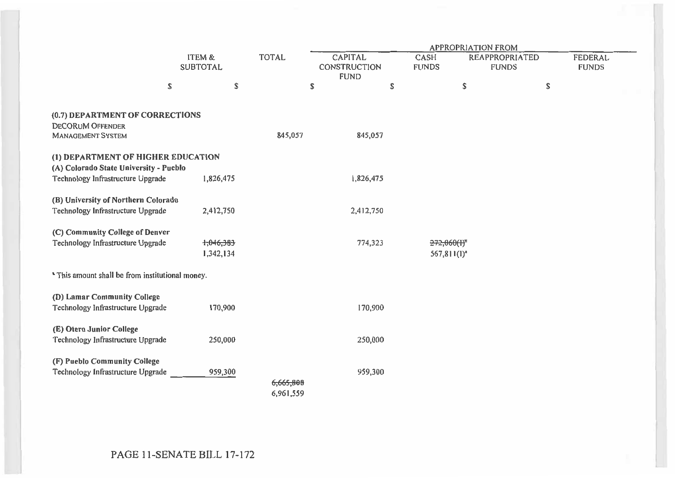|                                                                                                                   |                           |                        |                        | <b>APPROPRIATION FROM</b>                     |           |                              |                                       |    |                                |  |
|-------------------------------------------------------------------------------------------------------------------|---------------------------|------------------------|------------------------|-----------------------------------------------|-----------|------------------------------|---------------------------------------|----|--------------------------------|--|
|                                                                                                                   | ITEM &<br><b>SUBTOTAL</b> |                        | <b>TOTAL</b>           | <b>CAPITAL</b><br>CONSTRUCTION<br><b>FUND</b> |           | CASH<br><b>FUNDS</b>         | <b>REAPPROPRIATED</b><br><b>FUNDS</b> |    | <b>FEDERAL</b><br><b>FUNDS</b> |  |
|                                                                                                                   | S                         | \$                     |                        | \$                                            | \$        |                              | $\mathbb S$                           | \$ |                                |  |
| (0.7) DEPARTMENT OF CORRECTIONS<br><b>DECORUM OFFENDER</b><br><b>MANAGEMENT SYSTEM</b>                            |                           |                        | 845,057                |                                               | 845,057   |                              |                                       |    |                                |  |
| (1) DEPARTMENT OF HIGHER EDUCATION<br>(A) Colorado State University - Pueblo<br>Technology Infrastructure Upgrade |                           | 1,826,475              |                        |                                               | 1,826,475 |                              |                                       |    |                                |  |
| (B) University of Northern Colorado<br>Technology Infrastructure Upgrade                                          |                           | 2,412,750              |                        |                                               | 2,412,750 |                              |                                       |    |                                |  |
| (C) Community College of Denver<br>Technology Infrastructure Upgrade                                              |                           | 1,046,383<br>1,342,134 |                        |                                               | 774,323   | 272,060(H)<br>$567,811(1)^n$ |                                       |    |                                |  |
| * This amount shall be from institutional money.                                                                  |                           |                        |                        |                                               |           |                              |                                       |    |                                |  |
| (D) Lamar Community College<br>Technology Infrastructure Upgrade                                                  |                           | 170,900                |                        |                                               | 170,900   |                              |                                       |    |                                |  |
| (E) Otero Junior College<br>Technology Infrastructure Upgrade                                                     |                           | 250,000                |                        |                                               | 250,000   |                              |                                       |    |                                |  |
| (F) Pueblo Community College<br>Technology Infrastructure Upgrade                                                 |                           | 959,300                | 6;665,808<br>6,961,559 |                                               | 959,300   |                              |                                       |    |                                |  |

## PAGE 11-SENATE BILL 17-172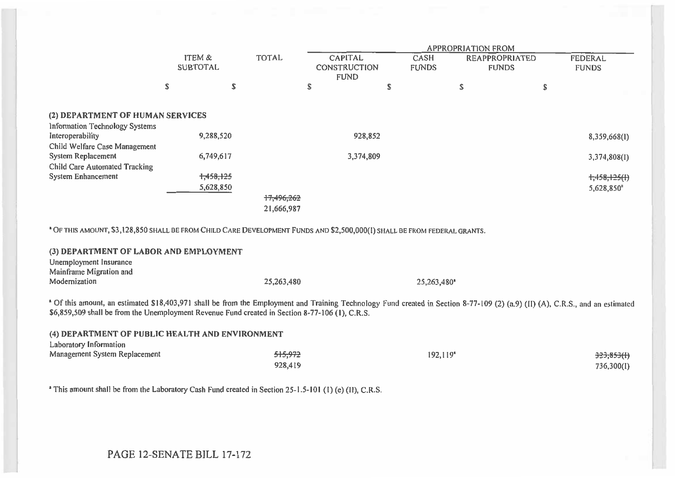|                                                                                                                                                                                                                                                                                   |                           |                          |                                                      |                      | <b>APPROPRIATION FROM</b>             |                                |
|-----------------------------------------------------------------------------------------------------------------------------------------------------------------------------------------------------------------------------------------------------------------------------------|---------------------------|--------------------------|------------------------------------------------------|----------------------|---------------------------------------|--------------------------------|
|                                                                                                                                                                                                                                                                                   | ITEM &<br><b>SUBTOTAL</b> | <b>TOTAL</b>             | <b>CAPITAL</b><br><b>CONSTRUCTION</b><br><b>FUND</b> | CASH<br><b>FUNDS</b> | <b>REAPPROPRIATED</b><br><b>FUNDS</b> | <b>FEDERAL</b><br><b>FUNDS</b> |
|                                                                                                                                                                                                                                                                                   | \$                        | \$                       | ${\mathbb S}$                                        | \$                   | \$                                    | \$                             |
| (2) DEPARTMENT OF HUMAN SERVICES<br>Information Technology Systems                                                                                                                                                                                                                |                           |                          |                                                      |                      |                                       |                                |
| Interoperability<br>Child Welfare Case Management                                                                                                                                                                                                                                 | 9,288,520                 |                          | 928,852                                              |                      |                                       | 8,359,668(1)                   |
| <b>System Replacement</b>                                                                                                                                                                                                                                                         | 6,749,617                 |                          | 3,374,809                                            |                      |                                       | 3,374,808(I)                   |
| <b>Child Care Automated Tracking</b><br>System Enhancement                                                                                                                                                                                                                        | 1,458,125<br>5,628,850    | 17,496,262<br>21,666,987 |                                                      |                      |                                       | $+1,458,125(1)$<br>5,628,850   |
| * OF THIS AMOUNT, \$3,128,850 SHALL BE FROM CHILD CARE DEVELOPMENT FUNDS AND \$2,500,000(I) SHALL BE FROM FEDERAL GRANTS.                                                                                                                                                         |                           |                          |                                                      |                      |                                       |                                |
| (3) DEPARTMENT OF LABOR AND EMPLOYMENT<br>Unemployment Insurance<br>Mainframe Migration and                                                                                                                                                                                       |                           |                          |                                                      |                      |                                       |                                |
| Modernization                                                                                                                                                                                                                                                                     |                           | 25,263,480               |                                                      | 25,263,480*          |                                       |                                |
| * Of this amount, an estimated \$18,403,971 shall be from the Employment and Training Technology Fund created in Section 8-77-109 (2) (a.9) (II) (A), C.R.S., and an estimated<br>\$6,859,509 shall be from the Unemployment Revenue Fund created in Section 8-77-106 (1), C.R.S. |                           |                          |                                                      |                      |                                       |                                |
| (4) DEPARTMENT OF PUBLIC HEALTH AND ENVIRONMENT                                                                                                                                                                                                                                   |                           |                          |                                                      |                      |                                       |                                |
| Laboratory Information<br>Management System Replacement                                                                                                                                                                                                                           |                           | 515,972<br>928,419       |                                                      |                      | 192,119*                              | 323,853(f)<br>736,300(I)       |
| <sup>a</sup> This amount shall be from the Laboratory Cash Fund created in Section 25-1.5-101 (1) (e) (II), C.R.S.                                                                                                                                                                |                           |                          |                                                      |                      |                                       |                                |

PAGE 12-SENATE BILL 17-172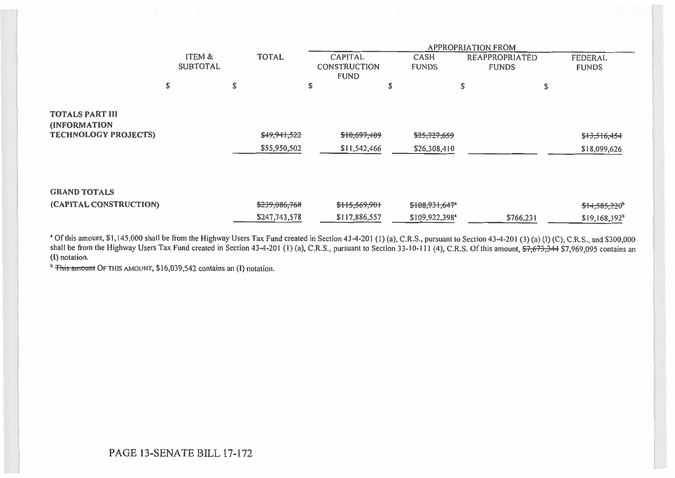|                                                                              |                           |                              |                                                      |                              | <b>APPROPRIATION FROM</b>             |                              |
|------------------------------------------------------------------------------|---------------------------|------------------------------|------------------------------------------------------|------------------------------|---------------------------------------|------------------------------|
|                                                                              | ITEM &<br><b>SUBTOTAL</b> | <b>TOTAL</b>                 | <b>CAPITAL</b><br><b>CONSTRUCTION</b><br><b>FUND</b> | CASH<br><b>FUNDS</b>         | <b>REAPPROPRIATED</b><br><b>FUNDS</b> | FEDERAL<br><b>FUNDS</b>      |
|                                                                              | S                         | S                            | S                                                    | ۵J.                          | \$                                    | \$                           |
| <b>TOTALS PART III</b><br><b>(INFORMATION</b><br><b>TECHNOLOGY PROJECTS)</b> |                           | \$49,941,522<br>\$55,950,502 | \$10,697,409<br>\$11,542,466                         | \$25,727,659<br>\$26,308,410 |                                       | \$13,516,454<br>\$18,099,626 |
| <b>GRAND TOTALS</b>                                                          |                           |                              |                                                      |                              |                                       |                              |
| (CAPITAL CONSTRUCTION)                                                       |                           | \$239,086,768                | \$115,569,901                                        | $$108,931,647$ <sup>*</sup>  |                                       | $$14,585,220$ <sup>b</sup>   |
|                                                                              |                           | \$247,743,578                | \$117,886,557                                        | \$109,922,398*               | \$766,231                             | $$19,168,392$ <sup>b</sup>   |

a Of this amount, \$1,145,000 shall be from the Highway Users Tax Fund created in Section 43-4-201 (1) (a), C.R.S., pursuant to Section 43-4-201 (3) (a) (I) (C), C.R.S., and \$300,000 shall be from the Highway Users Tax Fund created in Section 43-4-201 (1) (a), C.R.S., pursuant to Section 33-10-111 (4), C.R.S. Of this amount, <del>\$7,673,344</del> \$7,969,095 contains an **(I)** notation.

<sup>b</sup> This amount OF THIS AMOUNT, \$16,039,542 contains an (I) notation.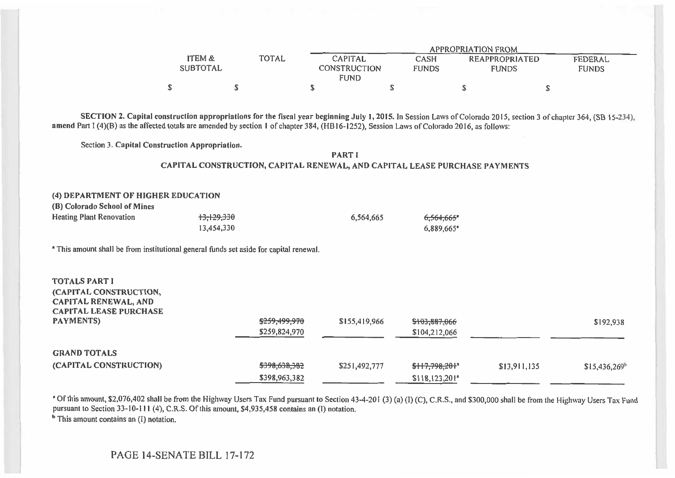|                                                                                                                                                                                               |                                      |                                |                                                                            |                                               | <b>APPROPRIATION FROM</b>                                                                                                                                           |                                |
|-----------------------------------------------------------------------------------------------------------------------------------------------------------------------------------------------|--------------------------------------|--------------------------------|----------------------------------------------------------------------------|-----------------------------------------------|---------------------------------------------------------------------------------------------------------------------------------------------------------------------|--------------------------------|
|                                                                                                                                                                                               | <b>ITEM &amp;</b><br><b>SUBTOTAL</b> | <b>TOTAL</b>                   | <b>CAPITAL</b><br><b>CONSTRUCTION</b><br><b>FUND</b>                       | <b>CASH</b><br><b>FUNDS</b>                   | <b>REAPPROPRIATED</b><br><b>FUNDS</b>                                                                                                                               | <b>FEDERAL</b><br><b>FUNDS</b> |
|                                                                                                                                                                                               | \$                                   | S                              | \$                                                                         | \$                                            | \$                                                                                                                                                                  | \$                             |
| amend Part I (4)(B) as the affected totals are amended by section 1 of chapter 384, (HB16-1252), Session Laws of Colorado 2016, as follows:<br>Section 3. Capital Construction Appropriation. |                                      |                                | <b>PART I</b>                                                              |                                               | SECTION 2. Capital construction appropriations for the fiscal year beginning July 1, 2015. In Session Laws of Colorado 2015, section 3 of chapter 364, (SB 15-234), |                                |
|                                                                                                                                                                                               |                                      |                                | CAPITAL CONSTRUCTION, CAPITAL RENEWAL, AND CAPITAL LEASE PURCHASE PAYMENTS |                                               |                                                                                                                                                                     |                                |
|                                                                                                                                                                                               |                                      |                                |                                                                            |                                               |                                                                                                                                                                     |                                |
| (4) DEPARTMENT OF HIGHER EDUCATION<br>(B) Colorado School of Mines<br><b>Heating Plant Renovation</b>                                                                                         | 13,129,330<br>13,454,330             |                                | 6,564,665                                                                  | 6,564,665*<br>6,889,665*                      |                                                                                                                                                                     |                                |
| <sup>a</sup> This amount shall be from institutional general funds set aside for capital renewal.                                                                                             |                                      |                                |                                                                            |                                               |                                                                                                                                                                     |                                |
| <b>TOTALS PART I</b><br>(CAPITAL CONSTRUCTION,<br><b>CAPITAL RENEWAL, AND</b><br><b>CAPITAL LEASE PURCHASE</b>                                                                                |                                      |                                |                                                                            |                                               |                                                                                                                                                                     |                                |
| <b>PAYMENTS)</b>                                                                                                                                                                              |                                      | \$259,499,970                  | \$155,419,966                                                              | \$103,887,066                                 |                                                                                                                                                                     | \$192,938                      |
|                                                                                                                                                                                               |                                      | \$259,824,970                  |                                                                            | \$104,212,066                                 |                                                                                                                                                                     |                                |
| <b>GRAND TOTALS</b><br>(CAPITAL CONSTRUCTION)                                                                                                                                                 |                                      | \$398,638,382<br>\$398,963,382 | \$251,492,777                                                              | \$117,798,201*<br>$$118,123,201$ <sup>*</sup> | \$13,911,135                                                                                                                                                        | $$15,436,269^b$                |

Of this amount, \$2,076,402 shall be from the Highway Users Tax Fund pursuant to Section 43-4-201 (3) (a) (I) (C), C.R.S., and \$300,000 shall be from the Highway Users Tax Fund pursuant to Section 33-10-111 (4), C.R.S. Of this amount, \$4,935,458 contains an (I) notation.

**b** This amount contains an (I) notation.

### PAGE 14-SENATE BILL 17-172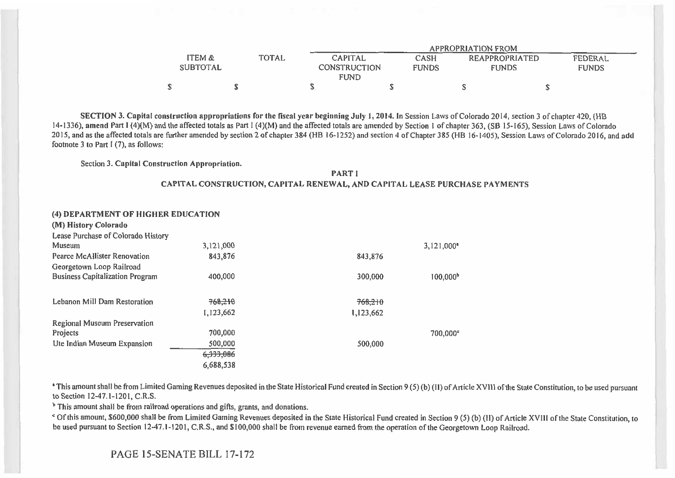|                   |              |                |              | APPROPRIATION FROM |                |
|-------------------|--------------|----------------|--------------|--------------------|----------------|
| <b>ITEM &amp;</b> | <b>TOTAL</b> | <b>CAPITAL</b> | <b>CASH</b>  | REAPPROPRIATED     | <b>FEDERAL</b> |
| <b>SUBTOTAL</b>   |              | CONSTRUCTION   | <b>FUNDS</b> | <b>FUNDS</b>       | <b>FUNDS</b>   |
|                   |              | <b>FUND</b>    |              |                    |                |
|                   |              |                |              |                    |                |

**SECTION 3. Capital construction appropriations for the fiscal year beginning July I, 2014.** In Session Laws of Colorado 2014, section 3 of chapter 420, (HB 14-1336), **amend** Part I (4)(M) and the affected totals as Part I (4)(M) and the affected totals are amended by Section 1 of chapter 363, (SB 15-165), Session Laws of Colorado 2015, and as the affected totals are further amended by section 2 of chapter 384 (HB 16-1252) and section 4 of Chapter 385 (HB 16-1405), Session Laws of Colorado 2016, and **add**  footnote 3 to Part I (7), as follows:

Section 3. **Capital Construction Appropriation.** 

**PART I CAPITAL CONSTRUCTION, CAPITAL RENEWAL, AND CAPITAL LEASE PURCHASE PAYMENTS** 

| (4) DEPARTMENT OF HIGHER EDUCATION     |           |           |                      |
|----------------------------------------|-----------|-----------|----------------------|
| (M) History Colorado                   |           |           |                      |
| Lease Purchase of Colorado History     |           |           |                      |
| Museum                                 | 3,121,000 |           | $3,121,000^*$        |
| Pearce McAllister Renovation           | 843,876   | 843,876   |                      |
| Georgetown Loop Railroad               |           |           |                      |
| <b>Business Capitalization Program</b> | 400,000   | 300,000   | 100,000 <sup>b</sup> |
|                                        |           |           |                      |
| Lebanon Mill Dam Restoration           | 768,210   | 768,210   |                      |
|                                        | 1,123,662 | 1,123,662 |                      |
| Regional Museum Preservation           |           |           |                      |
| Projects                               | 700,000   |           | 700,000°             |
| Ute Indian Museum Expansion            | 500,000   | 500,000   |                      |
|                                        | 6,333,086 |           |                      |
|                                        | 6,688,538 |           |                      |
|                                        |           |           |                      |

This amount shall be from Limited Gaming Revenues deposited in the State Historical Fund created in Section 9 (5) **(b)** (II) of Article XVIII of the State Constitution, to be used pursuant to Section 12-47.1-1201, C.R.S.

 $<sup>b</sup>$  This amount shall be from railroad operations and gifts, grants, and donations.</sup>

Of this amount, \$600,000 shall be from Limited Gaming Revenues deposited in the State Historical Fund created in Section 9 (5) (b) **(11)** of Article XVIII of the State Constitution, to be used pursuant to Section 12-47.1-1201, C.R.S., and \$ 100,000 shall be from revenue earned from the operation of the Georgetown Loop Railroad.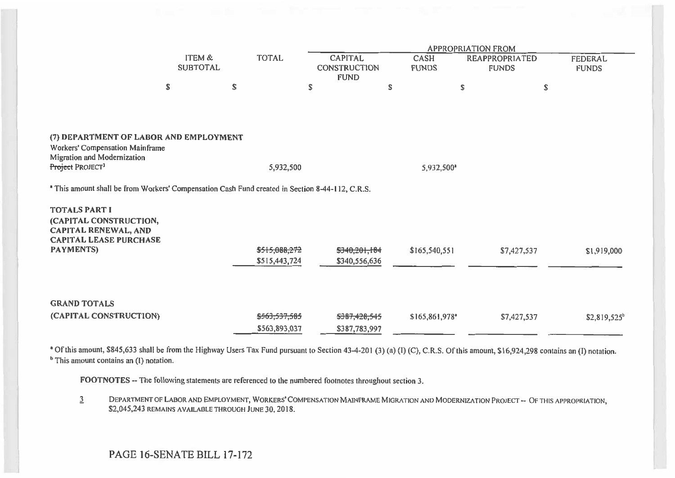|                                                                                                                                          | ITEM &<br><b>SUBTOTAL</b> | <b>TOTAL</b>                   | <b>CAPITAL</b><br><b>CONSTRUCTION</b> | CASH<br><b>FUNDS</b> | <b>APPROPRIATION FROM</b><br><b>REAPPROPRIATED</b><br><b>FUNDS</b> | <b>FEDERAL</b><br><b>FUNDS</b> |
|------------------------------------------------------------------------------------------------------------------------------------------|---------------------------|--------------------------------|---------------------------------------|----------------------|--------------------------------------------------------------------|--------------------------------|
|                                                                                                                                          |                           |                                | <b>FUND</b>                           |                      |                                                                    |                                |
|                                                                                                                                          | \$                        | \$                             | \$                                    | \$                   | S                                                                  | \$                             |
|                                                                                                                                          |                           |                                |                                       |                      |                                                                    |                                |
| (7) DEPARTMENT OF LABOR AND EMPLOYMENT<br>Workers' Compensation Mainframe<br>Migration and Modernization<br>Project PROJECT <sup>3</sup> |                           | 5,932,500                      |                                       | 5,932,500*           |                                                                    |                                |
| <sup>*</sup> This amount shall be from Workers' Compensation Cash Fund created in Section 8-44-112, C.R.S.                               |                           |                                |                                       |                      |                                                                    |                                |
| <b>TOTALS PART I</b><br>(CAPITAL CONSTRUCTION,<br><b>CAPITAL RENEWAL, AND</b><br><b>CAPITAL LEASE PURCHASE</b>                           |                           |                                |                                       |                      |                                                                    |                                |
| <b>PAYMENTS)</b>                                                                                                                         |                           | \$515,088,272<br>\$515,443,724 | \$340,201,184<br>\$340,556,636        | \$165,540,551        | \$7,427,537                                                        | \$1,919,000                    |
| <b>GRAND TOTALS</b>                                                                                                                      |                           |                                |                                       |                      |                                                                    |                                |
| (CAPITAL CONSTRUCTION)                                                                                                                   |                           | \$563,537,585<br>\$563,893,037 | \$387,428,545<br>\$387,783,997        | \$165,861,978*       | \$7,427,537                                                        | \$2,819,525 <sup>b</sup>       |

Of this amount, \$845,633 shall be from the Highway Users Tax Fund pursuant to Section 43-4-201 (3) (a) (I) (C), C.R.S. Of this amount, \$16,924,298 contains an (I) notation. **b** This amount contains an (I) notation.

**FOOTNOTES --** The following statements are referenced to the numbered footnotes throughout section 3.

3 DEPARTMENT OF LABOR AND EMPLOYMENT, WORKERS' COMPENSATION MAINFRAME MIGRATION AND MODERNIZATION PROJECT -- OF THIS APPROPRIATION, \$2,045,243 REMAINS AVAILABLE THROUGH JUNE 30, 2018.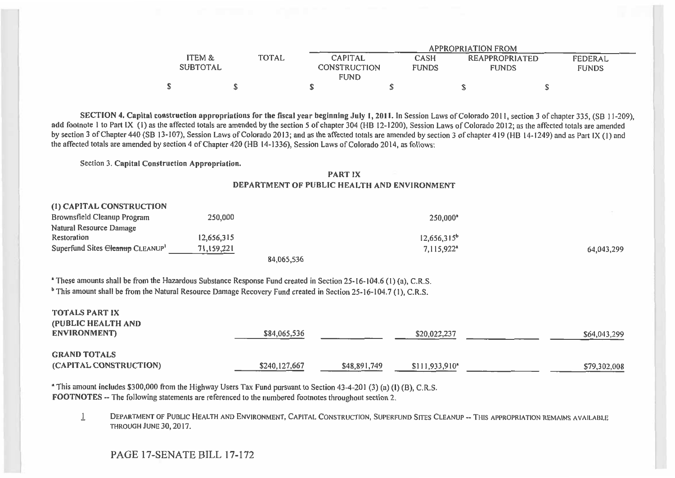|                        |                |                                     | <b>APPROPRIATION FROM</b> |                |              |
|------------------------|----------------|-------------------------------------|---------------------------|----------------|--------------|
| ITEM &<br><b>TOTAL</b> | <b>CAPITAL</b> | <b>CASH</b>                         |                           | REAPPROPRIATED | FEDERAL      |
| <b>SUBTOTAL</b>        |                | <b>CONSTRUCTION</b><br><b>FUNDS</b> |                           | <b>FUNDS</b>   | <b>FUNDS</b> |
|                        | <b>FUND</b>    |                                     |                           |                |              |
|                        |                |                                     |                           |                |              |

**SECTION 4. Capital construction appropriations for the fiscal year beginning July 1, 2011. In Session Laws of Colorado 2011, section 3 of chapter 335, (SB 11-209),** add footnote 1 to Part IX (I) as the affected totals are amended by the section 5 of chapter 304 (HB 12-1200), Session Laws of Colorado 2012; as the affected totals are amended by section 3 of Chapter 440 (SB 13-107), Session Laws of Colorado 2013; and as the affected totals are amended by section 3 of chapter 419 (HB 14-1249) and as Part IX (1) and the affected totals are amended by section 4 of Chapter 420 (HB 14-1336), Session Laws of Colorado 2014, as follows:

Section 3. **Capital Construction Appropriation.** 

#### **PART IX DEPARTMENT OF PUBLIC HEALTH AND ENVIRONMENT**

| (1) CAPITAL CONSTRUCTION        |            |            |                        |            |
|---------------------------------|------------|------------|------------------------|------------|
| Brownsfield Cleanup Program     | 250,000    |            | $250.000$ <sup>a</sup> |            |
| Natural Resource Damage         |            |            |                        |            |
| Restoration                     | 12.656.315 |            | $12,656,315^b$         |            |
| Superfund Sites Cleanup CLEANUP | 71,159,221 |            | 7,115,922*             | 64,043,299 |
|                                 |            | 84,065,536 |                        |            |

These amounts shall be from the Hazardous Substance Response Fund created in Section 25-16-104.6 (1) (a), C.R.S.

<sup>b</sup> This amount shall be from the Natural Resource Damage Recovery Fund created in Section 25-16-104.7 (1), C.R.S.

| <b>TOTALS PART IX</b><br>(PUBLIC HEALTH AND<br>ENVIRONMENT) | \$84,065,536  |              | \$20,022,237     | \$64,043,299 |
|-------------------------------------------------------------|---------------|--------------|------------------|--------------|
| <b>GRAND TOTALS</b><br>(CAPITAL CONSTRUCTION)               | \$240,127,667 | \$48,891,749 | $$111,933,910^*$ | \$79,302,008 |

This amount includes \$300,000 from the Highway Users Tax Fund pursuant to Section 43-4-201 (3) (a) **(I) (13),** C.R.S. **FOOTNOTES --** The following statements are referenced to the numbered footnotes throughout section 2.

DEPARTMENT OF PUBLIC HEALTH AND ENVIRONMENT, CAPITAL CONSTRUCTION, SUPERFUND SITES CLEANUP -- THIS APPROPRIATION REMAINS AVAILABLE  $\mathbf{1}$ THROUGH JUNE 30, 2017.

### PAGE 17-SENATE BILL 17-172